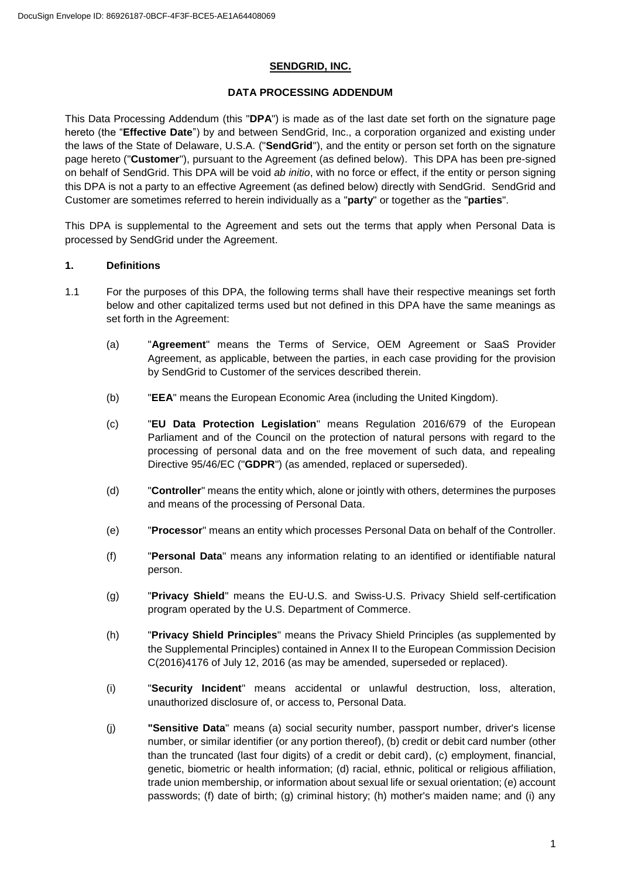### **SENDGRID, INC.**

## **DATA PROCESSING ADDENDUM**

This Data Processing Addendum (this "**DPA**") is made as of the last date set forth on the signature page hereto (the "**Effective Date**") by and between SendGrid, Inc., a corporation organized and existing under the laws of the State of Delaware, U.S.A. ("**SendGrid**"), and the entity or person set forth on the signature page hereto ("**Customer**"), pursuant to the Agreement (as defined below). This DPA has been pre-signed on behalf of SendGrid. This DPA will be void *ab initio*, with no force or effect, if the entity or person signing this DPA is not a party to an effective Agreement (as defined below) directly with SendGrid. SendGrid and Customer are sometimes referred to herein individually as a "**party**" or together as the "**parties**".

This DPA is supplemental to the Agreement and sets out the terms that apply when Personal Data is processed by SendGrid under the Agreement.

## **1. Definitions**

- 1.1 For the purposes of this DPA, the following terms shall have their respective meanings set forth below and other capitalized terms used but not defined in this DPA have the same meanings as set forth in the Agreement:
	- (a) "**Agreement**" means the Terms of Service, OEM Agreement or SaaS Provider Agreement, as applicable, between the parties, in each case providing for the provision by SendGrid to Customer of the services described therein.
	- (b) "**EEA**" means the European Economic Area (including the United Kingdom).
	- (c) "**EU Data Protection Legislation**" means Regulation 2016/679 of the European Parliament and of the Council on the protection of natural persons with regard to the processing of personal data and on the free movement of such data, and repealing Directive 95/46/EC ("**GDPR**") (as amended, replaced or superseded).
	- (d) "**Controller**" means the entity which, alone or jointly with others, determines the purposes and means of the processing of Personal Data.
	- (e) "**Processor**" means an entity which processes Personal Data on behalf of the Controller.
	- (f) "**Personal Data**" means any information relating to an identified or identifiable natural person.
	- (g) "**Privacy Shield**" means the EU-U.S. and Swiss-U.S. Privacy Shield self-certification program operated by the U.S. Department of Commerce.
	- (h) "**Privacy Shield Principles**" means the Privacy Shield Principles (as supplemented by the Supplemental Principles) contained in Annex II to the European Commission Decision C(2016)4176 of July 12, 2016 (as may be amended, superseded or replaced).
	- (i) "**Security Incident**" means accidental or unlawful destruction, loss, alteration, unauthorized disclosure of, or access to, Personal Data.
	- (j) **"Sensitive Data**" means (a) social security number, passport number, driver's license number, or similar identifier (or any portion thereof), (b) credit or debit card number (other than the truncated (last four digits) of a credit or debit card), (c) employment, financial, genetic, biometric or health information; (d) racial, ethnic, political or religious affiliation, trade union membership, or information about sexual life or sexual orientation; (e) account passwords; (f) date of birth; (g) criminal history; (h) mother's maiden name; and (i) any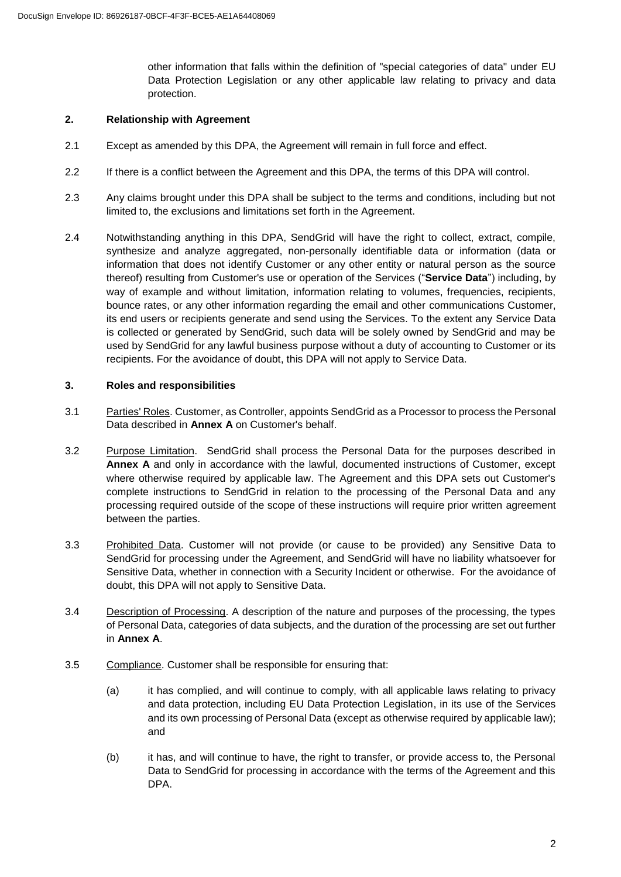other information that falls within the definition of "special categories of data" under EU Data Protection Legislation or any other applicable law relating to privacy and data protection.

### **2. Relationship with Agreement**

- 2.1 Except as amended by this DPA, the Agreement will remain in full force and effect.
- 2.2 If there is a conflict between the Agreement and this DPA, the terms of this DPA will control.
- 2.3 Any claims brought under this DPA shall be subject to the terms and conditions, including but not limited to, the exclusions and limitations set forth in the Agreement.
- 2.4 Notwithstanding anything in this DPA, SendGrid will have the right to collect, extract, compile, synthesize and analyze aggregated, non-personally identifiable data or information (data or information that does not identify Customer or any other entity or natural person as the source thereof) resulting from Customer's use or operation of the Services ("**Service Data**") including, by way of example and without limitation, information relating to volumes, frequencies, recipients, bounce rates, or any other information regarding the email and other communications Customer, its end users or recipients generate and send using the Services. To the extent any Service Data is collected or generated by SendGrid, such data will be solely owned by SendGrid and may be used by SendGrid for any lawful business purpose without a duty of accounting to Customer or its recipients. For the avoidance of doubt, this DPA will not apply to Service Data.

### **3. Roles and responsibilities**

- 3.1 Parties' Roles. Customer, as Controller, appoints SendGrid as a Processor to process the Personal Data described in **Annex A** on Customer's behalf.
- 3.2 Purpose Limitation. SendGrid shall process the Personal Data for the purposes described in **Annex A** and only in accordance with the lawful, documented instructions of Customer, except where otherwise required by applicable law. The Agreement and this DPA sets out Customer's complete instructions to SendGrid in relation to the processing of the Personal Data and any processing required outside of the scope of these instructions will require prior written agreement between the parties.
- 3.3 Prohibited Data. Customer will not provide (or cause to be provided) any Sensitive Data to SendGrid for processing under the Agreement, and SendGrid will have no liability whatsoever for Sensitive Data, whether in connection with a Security Incident or otherwise. For the avoidance of doubt, this DPA will not apply to Sensitive Data.
- 3.4 Description of Processing. A description of the nature and purposes of the processing, the types of Personal Data, categories of data subjects, and the duration of the processing are set out further in **Annex A**.
- 3.5 Compliance. Customer shall be responsible for ensuring that:
	- (a) it has complied, and will continue to comply, with all applicable laws relating to privacy and data protection, including EU Data Protection Legislation, in its use of the Services and its own processing of Personal Data (except as otherwise required by applicable law); and
	- (b) it has, and will continue to have, the right to transfer, or provide access to, the Personal Data to SendGrid for processing in accordance with the terms of the Agreement and this DPA.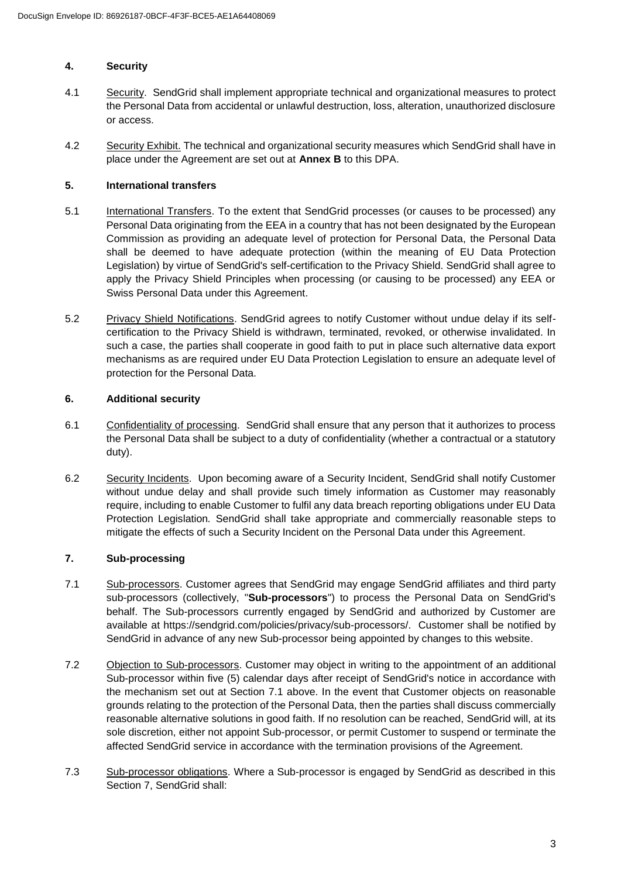### **4. Security**

- 4.1 Security.SendGrid shall implement appropriate technical and organizational measures to protect the Personal Data from accidental or unlawful destruction, loss, alteration, unauthorized disclosure or access.
- 4.2 Security Exhibit. The technical and organizational security measures which SendGrid shall have in place under the Agreement are set out at **Annex B** to this DPA.

### **5. International transfers**

- 5.1 International Transfers. To the extent that SendGrid processes (or causes to be processed) any Personal Data originating from the EEA in a country that has not been designated by the European Commission as providing an adequate level of protection for Personal Data, the Personal Data shall be deemed to have adequate protection (within the meaning of EU Data Protection Legislation) by virtue of SendGrid's self-certification to the Privacy Shield. SendGrid shall agree to apply the Privacy Shield Principles when processing (or causing to be processed) any EEA or Swiss Personal Data under this Agreement.
- 5.2 Privacy Shield Notifications. SendGrid agrees to notify Customer without undue delay if its selfcertification to the Privacy Shield is withdrawn, terminated, revoked, or otherwise invalidated. In such a case, the parties shall cooperate in good faith to put in place such alternative data export mechanisms as are required under EU Data Protection Legislation to ensure an adequate level of protection for the Personal Data.

## **6. Additional security**

- 6.1 Confidentiality of processing. SendGrid shall ensure that any person that it authorizes to process the Personal Data shall be subject to a duty of confidentiality (whether a contractual or a statutory duty).
- 6.2 Security Incidents. Upon becoming aware of a Security Incident, SendGrid shall notify Customer without undue delay and shall provide such timely information as Customer may reasonably require, including to enable Customer to fulfil any data breach reporting obligations under EU Data Protection Legislation*.* SendGrid shall take appropriate and commercially reasonable steps to mitigate the effects of such a Security Incident on the Personal Data under this Agreement.

# **7. Sub-processing**

- 7.1 Sub-processors. Customer agrees that SendGrid may engage SendGrid affiliates and third party sub-processors (collectively, "**Sub-processors**") to process the Personal Data on SendGrid's behalf. The Sub-processors currently engaged by SendGrid and authorized by Customer are available at https://sendgrid.com/policies/privacy/sub-processors/. Customer shall be notified by SendGrid in advance of any new Sub-processor being appointed by changes to this website.
- 7.2 Objection to Sub-processors. Customer may object in writing to the appointment of an additional Sub-processor within five (5) calendar days after receipt of SendGrid's notice in accordance with the mechanism set out at Section [7.1](#page--1-0) above. In the event that Customer objects on reasonable grounds relating to the protection of the Personal Data, then the parties shall discuss commercially reasonable alternative solutions in good faith. If no resolution can be reached, SendGrid will, at its sole discretion, either not appoint Sub-processor, or permit Customer to suspend or terminate the affected SendGrid service in accordance with the termination provisions of the Agreement.
- 7.3 Sub-processor obligations. Where a Sub-processor is engaged by SendGrid as described in this Section 7, SendGrid shall: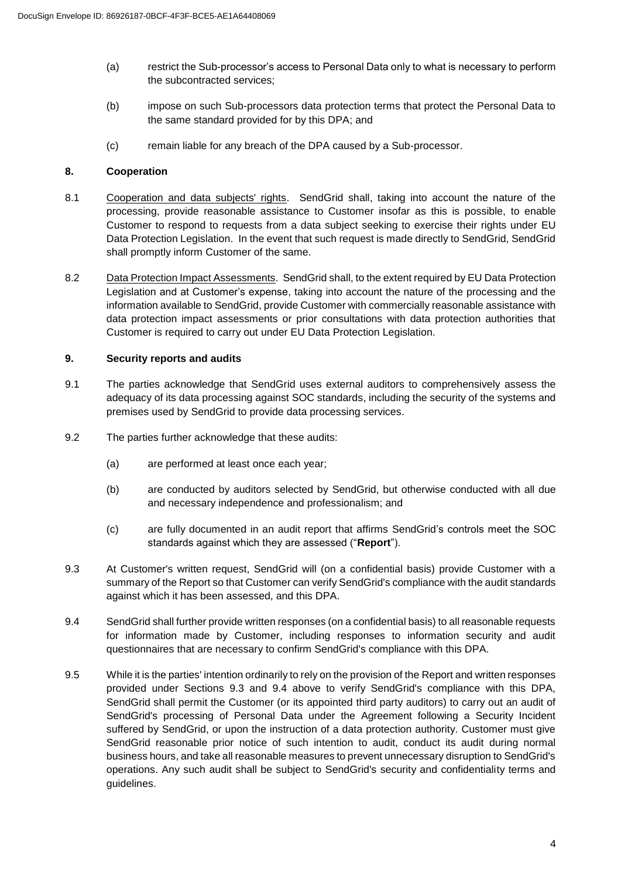- (a) restrict the Sub-processor's access to Personal Data only to what is necessary to perform the subcontracted services;
- (b) impose on such Sub-processors data protection terms that protect the Personal Data to the same standard provided for by this DPA; and
- (c) remain liable for any breach of the DPA caused by a Sub-processor.

### **8. Cooperation**

- 8.1 Cooperation and data subjects' rights. SendGrid shall, taking into account the nature of the processing, provide reasonable assistance to Customer insofar as this is possible, to enable Customer to respond to requests from a data subject seeking to exercise their rights under EU Data Protection Legislation. In the event that such request is made directly to SendGrid, SendGrid shall promptly inform Customer of the same.
- 8.2 Data Protection Impact Assessments. SendGrid shall, to the extent required by EU Data Protection Legislation and at Customer's expense, taking into account the nature of the processing and the information available to SendGrid, provide Customer with commercially reasonable assistance with data protection impact assessments or prior consultations with data protection authorities that Customer is required to carry out under EU Data Protection Legislation.

## **9. Security reports and audits**

- 9.1 The parties acknowledge that SendGrid uses external auditors to comprehensively assess the adequacy of its data processing against SOC standards, including the security of the systems and premises used by SendGrid to provide data processing services.
- 9.2 The parties further acknowledge that these audits:
	- (a) are performed at least once each year;
	- (b) are conducted by auditors selected by SendGrid, but otherwise conducted with all due and necessary independence and professionalism; and
	- (c) are fully documented in an audit report that affirms SendGrid's controls meet the SOC standards against which they are assessed ("**Report**").
- 9.3 At Customer's written request, SendGrid will (on a confidential basis) provide Customer with a summary of the Report so that Customer can verify SendGrid's compliance with the audit standards against which it has been assessed, and this DPA.
- 9.4 SendGrid shall further provide written responses (on a confidential basis) to all reasonable requests for information made by Customer, including responses to information security and audit questionnaires that are necessary to confirm SendGrid's compliance with this DPA.
- 9.5 While it is the parties' intention ordinarily to rely on the provision of the Report and written responses provided under Sections [9.3](#page--1-1) and [9.4](#page--1-2) above to verify SendGrid's compliance with this DPA, SendGrid shall permit the Customer (or its appointed third party auditors) to carry out an audit of SendGrid's processing of Personal Data under the Agreement following a Security Incident suffered by SendGrid, or upon the instruction of a data protection authority. Customer must give SendGrid reasonable prior notice of such intention to audit, conduct its audit during normal business hours, and take all reasonable measures to prevent unnecessary disruption to SendGrid's operations. Any such audit shall be subject to SendGrid's security and confidentiality terms and guidelines.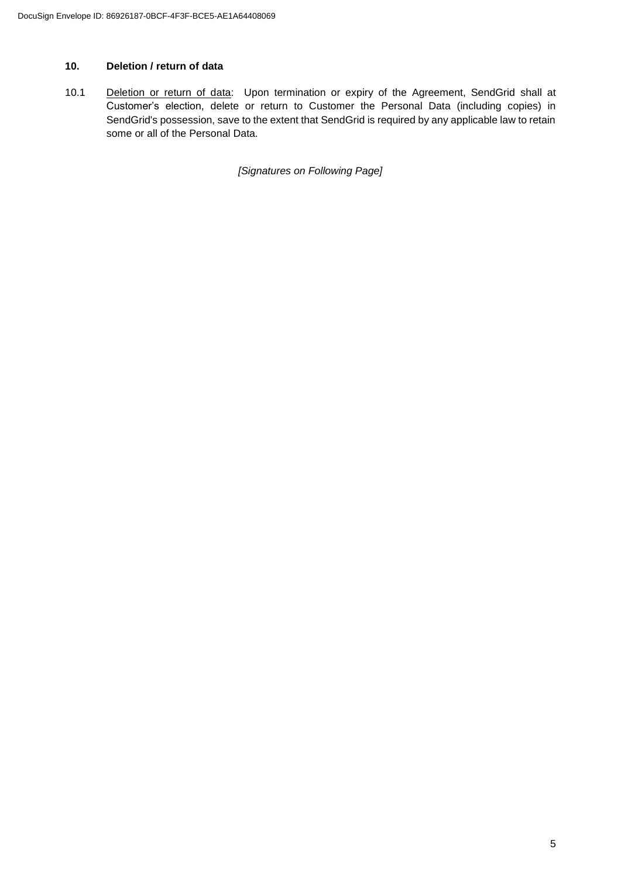# **10. Deletion / return of data**

10.1 Deletion or return of data: Upon termination or expiry of the Agreement, SendGrid shall at Customer's election, delete or return to Customer the Personal Data (including copies) in SendGrid's possession, save to the extent that SendGrid is required by any applicable law to retain some or all of the Personal Data.

*[Signatures on Following Page]*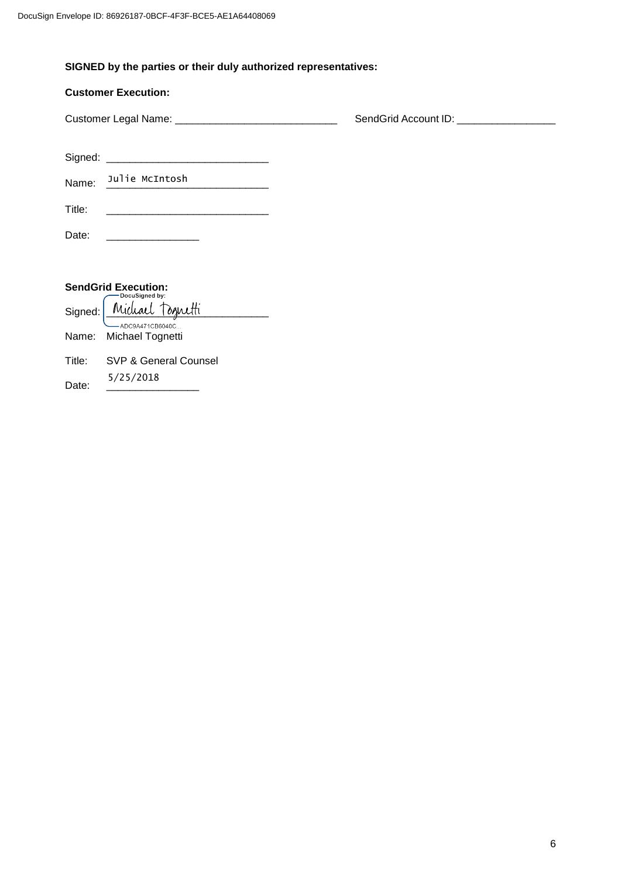# **SIGNED by the parties or their duly authorized representatives:**

## **Customer Execution:**

Customer Legal Name: \_\_\_\_\_\_\_\_\_\_\_\_\_\_\_\_\_\_\_\_\_\_\_\_\_\_\_\_ SendGrid Account ID: \_\_\_\_\_\_\_\_\_\_\_\_\_\_\_\_\_

Signed: \_\_\_\_\_\_\_\_\_\_\_\_\_\_\_\_\_\_\_\_\_\_\_\_\_\_\_\_

Name: \_\_\_\_\_\_\_\_\_\_\_\_\_\_\_\_\_\_\_\_\_\_\_\_\_\_\_\_ Julie McIntosh

| Title: |  |  |  |
|--------|--|--|--|

Date: \_\_\_\_\_\_\_\_\_\_\_\_\_\_\_\_

| <b>SendGrid Execution:</b><br>-DocuSigned by: |                          |  |  |
|-----------------------------------------------|--------------------------|--|--|
|                                               | Signed: Michael Tognetti |  |  |
|                                               | $-$ ADC9A471CB6040C      |  |  |
|                                               | Name: Michael Tognetti   |  |  |
|                                               |                          |  |  |
| Title:                                        | SVP & General Counsel    |  |  |
|                                               | 5/25/2018                |  |  |
| )ate:                                         |                          |  |  |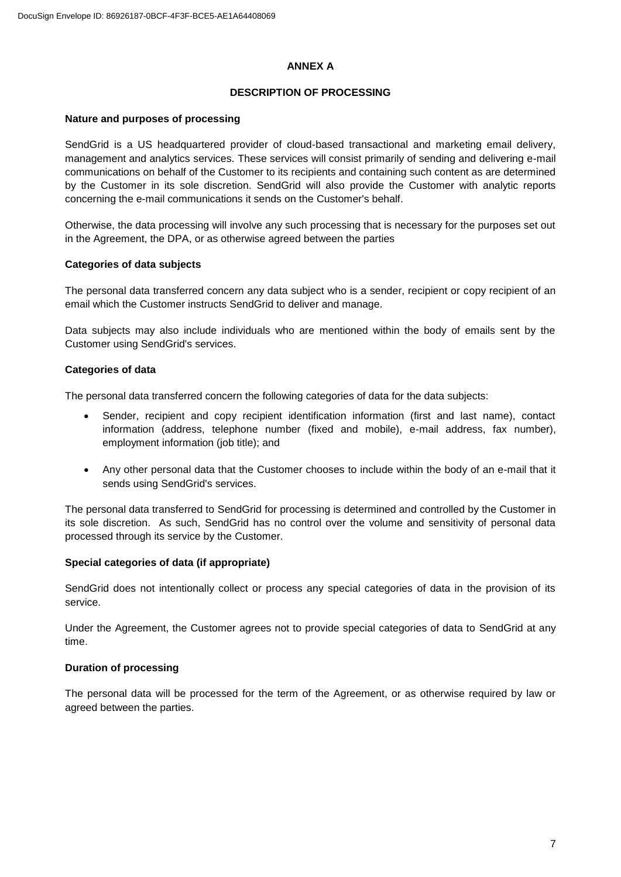#### **ANNEX A**

#### **DESCRIPTION OF PROCESSING**

#### **Nature and purposes of processing**

SendGrid is a US headquartered provider of cloud-based transactional and marketing email delivery, management and analytics services. These services will consist primarily of sending and delivering e-mail communications on behalf of the Customer to its recipients and containing such content as are determined by the Customer in its sole discretion. SendGrid will also provide the Customer with analytic reports concerning the e-mail communications it sends on the Customer's behalf.

Otherwise, the data processing will involve any such processing that is necessary for the purposes set out in the Agreement, the DPA, or as otherwise agreed between the parties

#### **Categories of data subjects**

The personal data transferred concern any data subject who is a sender, recipient or copy recipient of an email which the Customer instructs SendGrid to deliver and manage.

Data subjects may also include individuals who are mentioned within the body of emails sent by the Customer using SendGrid's services.

#### **Categories of data**

The personal data transferred concern the following categories of data for the data subjects:

- Sender, recipient and copy recipient identification information (first and last name), contact information (address, telephone number (fixed and mobile), e-mail address, fax number), employment information (job title); and
- Any other personal data that the Customer chooses to include within the body of an e-mail that it sends using SendGrid's services.

The personal data transferred to SendGrid for processing is determined and controlled by the Customer in its sole discretion. As such, SendGrid has no control over the volume and sensitivity of personal data processed through its service by the Customer.

### **Special categories of data (if appropriate)**

SendGrid does not intentionally collect or process any special categories of data in the provision of its service.

Under the Agreement, the Customer agrees not to provide special categories of data to SendGrid at any time.

### **Duration of processing**

The personal data will be processed for the term of the Agreement, or as otherwise required by law or agreed between the parties.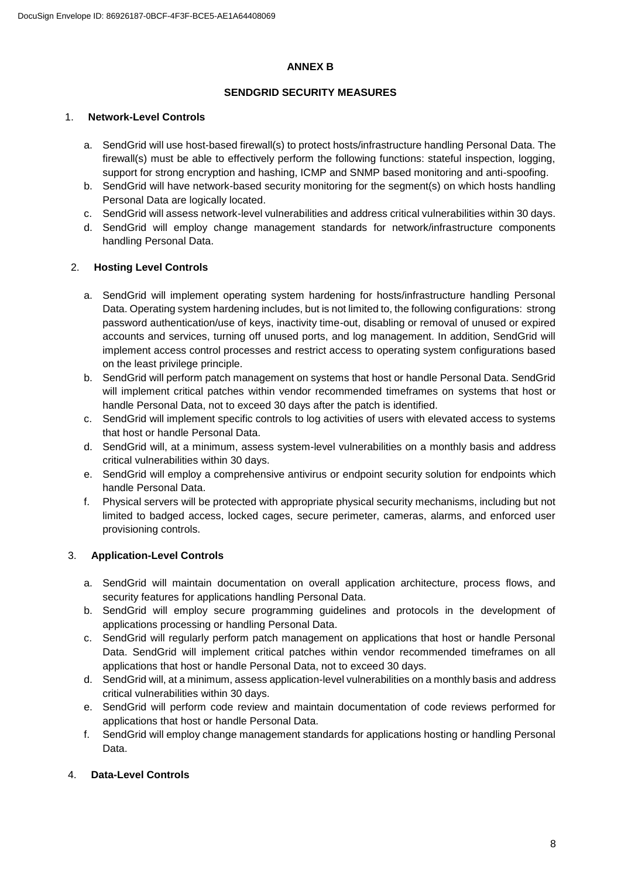#### **ANNEX B**

### **SENDGRID SECURITY MEASURES**

### 1. **Network-Level Controls**

- a. SendGrid will use host-based firewall(s) to protect hosts/infrastructure handling Personal Data. The firewall(s) must be able to effectively perform the following functions: stateful inspection, logging, support for strong encryption and hashing, ICMP and SNMP based monitoring and anti-spoofing.
- b. SendGrid will have network-based security monitoring for the segment(s) on which hosts handling Personal Data are logically located.
- c. SendGrid will assess network-level vulnerabilities and address critical vulnerabilities within 30 days.
- d. SendGrid will employ change management standards for network/infrastructure components handling Personal Data.

## 2. **Hosting Level Controls**

- a. SendGrid will implement operating system hardening for hosts/infrastructure handling Personal Data. Operating system hardening includes, but is not limited to, the following configurations: strong password authentication/use of keys, inactivity time-out, disabling or removal of unused or expired accounts and services, turning off unused ports, and log management. In addition, SendGrid will implement access control processes and restrict access to operating system configurations based on the least privilege principle.
- b. SendGrid will perform patch management on systems that host or handle Personal Data. SendGrid will implement critical patches within vendor recommended timeframes on systems that host or handle Personal Data, not to exceed 30 days after the patch is identified.
- c. SendGrid will implement specific controls to log activities of users with elevated access to systems that host or handle Personal Data.
- d. SendGrid will, at a minimum, assess system-level vulnerabilities on a monthly basis and address critical vulnerabilities within 30 days.
- e. SendGrid will employ a comprehensive antivirus or endpoint security solution for endpoints which handle Personal Data.
- f. Physical servers will be protected with appropriate physical security mechanisms, including but not limited to badged access, locked cages, secure perimeter, cameras, alarms, and enforced user provisioning controls.

# 3. **Application-Level Controls**

- a. SendGrid will maintain documentation on overall application architecture, process flows, and security features for applications handling Personal Data.
- b. SendGrid will employ secure programming guidelines and protocols in the development of applications processing or handling Personal Data.
- c. SendGrid will regularly perform patch management on applications that host or handle Personal Data. SendGrid will implement critical patches within vendor recommended timeframes on all applications that host or handle Personal Data, not to exceed 30 days.
- d. SendGrid will, at a minimum, assess application-level vulnerabilities on a monthly basis and address critical vulnerabilities within 30 days.
- e. SendGrid will perform code review and maintain documentation of code reviews performed for applications that host or handle Personal Data.
- f. SendGrid will employ change management standards for applications hosting or handling Personal Data.

# 4. **Data-Level Controls**